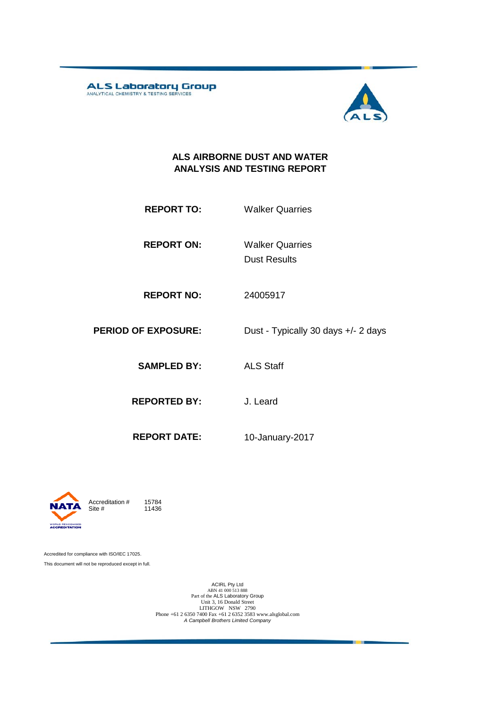ALS Laboratory Group



#### **ALS AIRBORNE DUST AND WATER ANALYSIS AND TESTING REPORT**

- **REPORT TO:** Walker Quarries
- **REPORT ON:** Dust Results Walker Quarries
- **REPORT NO:** 24005917
- **PERIOD OF EXPOSURE:** Dust Typically 30 days +/- 2 days
	- **SAMPLED BY:** ALS Staff
	- **REPORTED BY:** J. Leard
		-
	- **REPORT DATE:** 10-January-2017



11436

Accredited for compliance with ISO/IEC 17025. This document will not be reproduced except in full.

ACIRL Pty Ltd<br>
ABN 41 000 513 888<br>
Part of the ALS Laboratory Group<br>
Unit 3, 16 Donald Street<br>
LITHGOW NSW 2790<br>
Phone +61 2 6350 7400 Fax +61 2 6352 3583 www.alsglobal.com<br> *A Campbell Brothers Limited Company*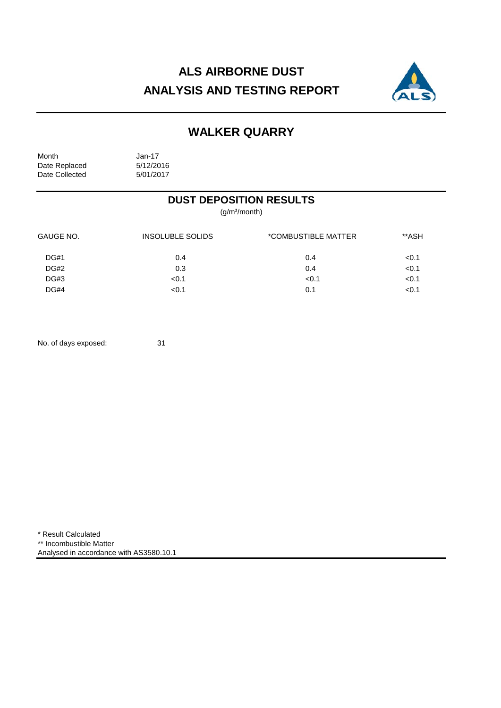# **ALS AIRBORNE DUST ANALYSIS AND TESTING REPORT**



# **WALKER QUARRY**

Month Jan-17<br>Date Replaced 5/12/2016 Date Replaced 5/12/2016<br>Date Collected 5/01/2017 Date Collected

### **DUST DEPOSITION RESULTS**

(g/m²/month)

| GAUGE NO.   | <b>INSOLUBLE SOLIDS</b> | *COMBUSTIBLE MATTER | **ASH |  |
|-------------|-------------------------|---------------------|-------|--|
| <b>DG#1</b> | 0.4                     | 0.4                 | < 0.1 |  |
| <b>DG#2</b> | 0.3                     | 0.4                 | < 0.1 |  |
| DG#3        | < 0.1                   | < 0.1               | < 0.1 |  |
| DG#4        | < 0.1                   | 0.1                 | < 0.1 |  |

No. of days exposed: 31

\* Result Calculated \*\* Incombustible Matter Analysed in accordance with AS3580.10.1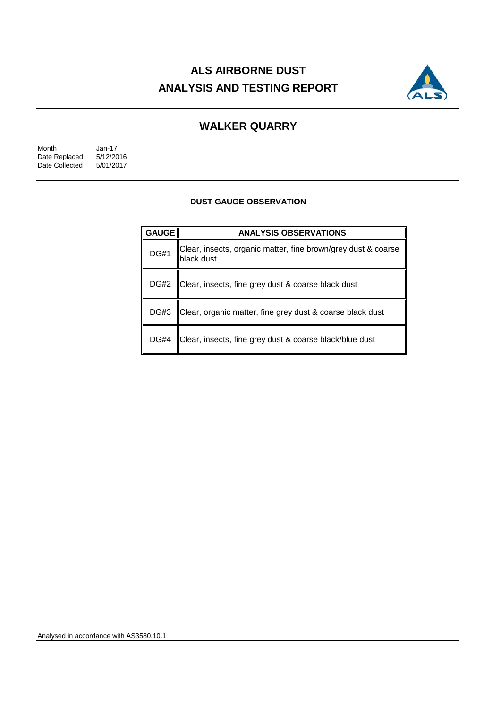# **ALS AIRBORNE DUST ANALYSIS AND TESTING REPORT**



## **WALKER QUARRY**

| Month          | $Jan-17$  |
|----------------|-----------|
| Date Replaced  | 5/12/2016 |
| Date Collected | 5/01/2017 |

#### **DUST GAUGE OBSERVATION**

| <b>GAUGE</b> | <b>ANALYSIS OBSERVATIONS</b>                                                |  |  |
|--------------|-----------------------------------------------------------------------------|--|--|
| <b>DG#1</b>  | Clear, insects, organic matter, fine brown/grey dust & coarse<br>black dust |  |  |
| <b>DG#2</b>  | Clear, insects, fine grey dust & coarse black dust                          |  |  |
| DG#3         | Clear, organic matter, fine grey dust & coarse black dust                   |  |  |
| <b>DG#4</b>  | Clear, insects, fine grey dust & coarse black/blue dust                     |  |  |